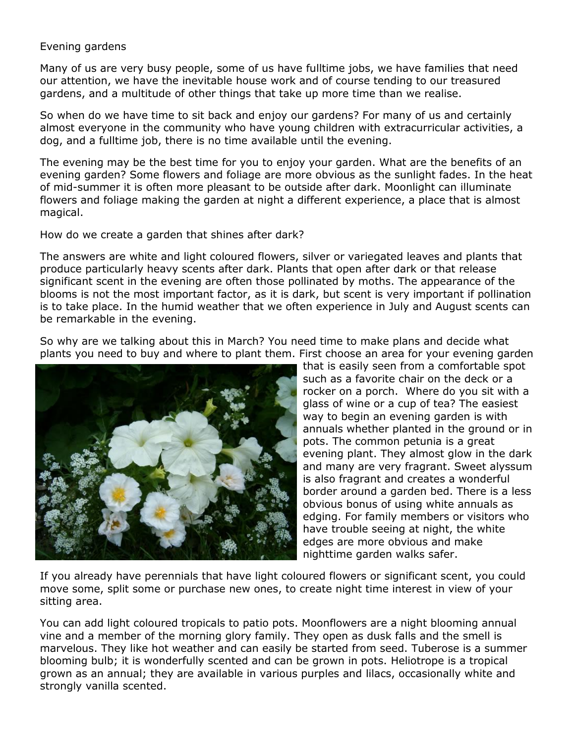## Evening gardens

Many of us are very busy people, some of us have fulltime jobs, we have families that need our attention, we have the inevitable house work and of course tending to our treasured gardens, and a multitude of other things that take up more time than we realise.

So when do we have time to sit back and enjoy our gardens? For many of us and certainly almost everyone in the community who have young children with extracurricular activities, a dog, and a fulltime job, there is no time available until the evening.

The evening may be the best time for you to enjoy your garden. What are the benefits of an evening garden? Some flowers and foliage are more obvious as the sunlight fades. In the heat of mid-summer it is often more pleasant to be outside after dark. Moonlight can illuminate flowers and foliage making the garden at night a different experience, a place that is almost magical.

How do we create a garden that shines after dark?

The answers are white and light coloured flowers, silver or variegated leaves and plants that produce particularly heavy scents after dark. Plants that open after dark or that release significant scent in the evening are often those pollinated by moths. The appearance of the blooms is not the most important factor, as it is dark, but scent is very important if pollination is to take place. In the humid weather that we often experience in July and August scents can be remarkable in the evening.

So why are we talking about this in March? You need time to make plans and decide what plants you need to buy and where to plant them. First choose an area for your evening garden



that is easily seen from a comfortable spot such as a favorite chair on the deck or a rocker on a porch. Where do you sit with a glass of wine or a cup of tea? The easiest way to begin an evening garden is with annuals whether planted in the ground or in pots. The common petunia is a great evening plant. They almost glow in the dark and many are very fragrant. Sweet alyssum is also fragrant and creates a wonderful border around a garden bed. There is a less obvious bonus of using white annuals as edging. For family members or visitors who have trouble seeing at night, the white edges are more obvious and make nighttime garden walks safer.

If you already have perennials that have light coloured flowers or significant scent, you could move some, split some or purchase new ones, to create night time interest in view of your sitting area.

You can add light coloured tropicals to patio pots. Moonflowers are a night blooming annual vine and a member of the morning glory family. They open as dusk falls and the smell is marvelous. They like hot weather and can easily be started from seed. Tuberose is a summer blooming bulb; it is wonderfully scented and can be grown in pots. Heliotrope is a tropical grown as an annual; they are available in various purples and lilacs, occasionally white and strongly vanilla scented.